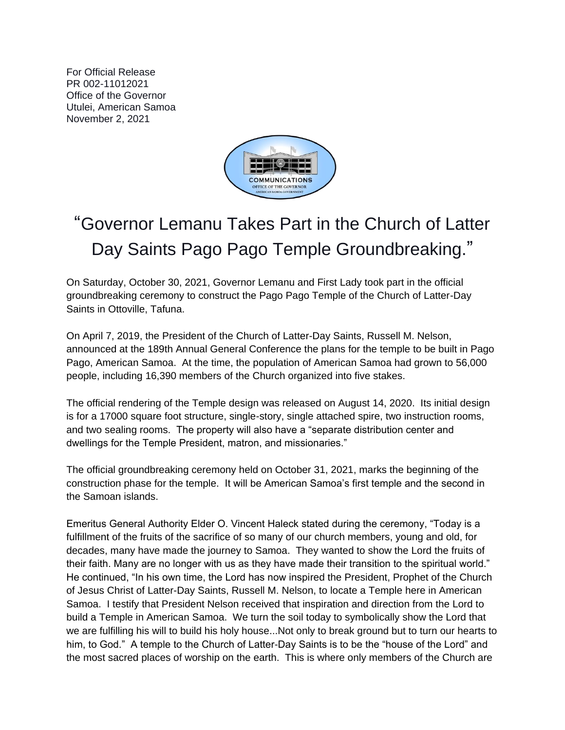For Official Release PR 002-11012021 Office of the Governor Utulei, American Samoa November 2, 2021



## "Governor Lemanu Takes Part in the Church of Latter Day Saints Pago Pago Temple Groundbreaking."

On Saturday, October 30, 2021, Governor Lemanu and First Lady took part in the official groundbreaking ceremony to construct the Pago Pago Temple of the Church of Latter-Day Saints in Ottoville, Tafuna.

On April 7, 2019, the President of the Church of Latter-Day Saints, Russell M. Nelson, announced at the 189th Annual General Conference the plans for the temple to be built in Pago Pago, American Samoa. At the time, the population of American Samoa had grown to 56,000 people, including 16,390 members of the Church organized into five stakes.

The official rendering of the Temple design was released on August 14, 2020. Its initial design is for a 17000 square foot structure, single-story, single attached spire, two instruction rooms, and two sealing rooms. The property will also have a "separate distribution center and dwellings for the Temple President, matron, and missionaries."

The official groundbreaking ceremony held on October 31, 2021, marks the beginning of the construction phase for the temple. It will be American Samoa's first temple and the second in the Samoan islands.

Emeritus General Authority Elder O. Vincent Haleck stated during the ceremony, "Today is a fulfillment of the fruits of the sacrifice of so many of our church members, young and old, for decades, many have made the journey to Samoa. They wanted to show the Lord the fruits of their faith. Many are no longer with us as they have made their transition to the spiritual world." He continued, "In his own time, the Lord has now inspired the President, Prophet of the Church of Jesus Christ of Latter-Day Saints, Russell M. Nelson, to locate a Temple here in American Samoa. I testify that President Nelson received that inspiration and direction from the Lord to build a Temple in American Samoa. We turn the soil today to symbolically show the Lord that we are fulfilling his will to build his holy house...Not only to break ground but to turn our hearts to him, to God." A temple to the Church of Latter-Day Saints is to be the "house of the Lord" and the most sacred places of worship on the earth. This is where only members of the Church are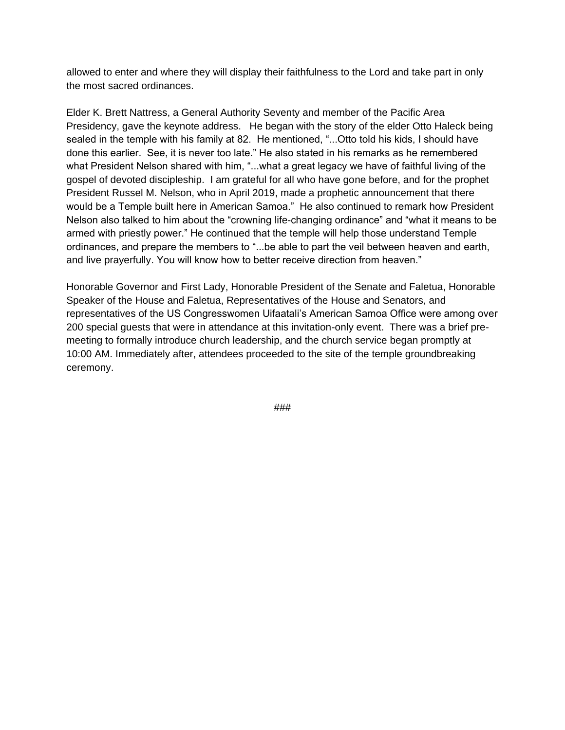allowed to enter and where they will display their faithfulness to the Lord and take part in only the most sacred ordinances.

Elder K. Brett Nattress, a General Authority Seventy and member of the Pacific Area Presidency, gave the keynote address. He began with the story of the elder Otto Haleck being sealed in the temple with his family at 82. He mentioned, "...Otto told his kids, I should have done this earlier. See, it is never too late." He also stated in his remarks as he remembered what President Nelson shared with him, "...what a great legacy we have of faithful living of the gospel of devoted discipleship. I am grateful for all who have gone before, and for the prophet President Russel M. Nelson, who in April 2019, made a prophetic announcement that there would be a Temple built here in American Samoa." He also continued to remark how President Nelson also talked to him about the "crowning life-changing ordinance" and "what it means to be armed with priestly power." He continued that the temple will help those understand Temple ordinances, and prepare the members to "...be able to part the veil between heaven and earth, and live prayerfully. You will know how to better receive direction from heaven."

Honorable Governor and First Lady, Honorable President of the Senate and Faletua, Honorable Speaker of the House and Faletua, Representatives of the House and Senators, and representatives of the US Congresswomen Uifaatali's American Samoa Office were among over 200 special guests that were in attendance at this invitation-only event. There was a brief premeeting to formally introduce church leadership, and the church service began promptly at 10:00 AM. Immediately after, attendees proceeded to the site of the temple groundbreaking ceremony.

*###*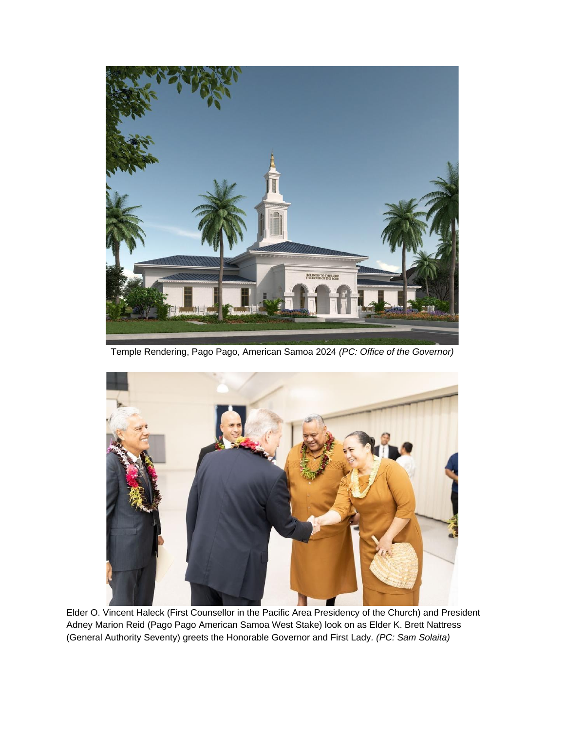

Temple Rendering, Pago Pago, American Samoa 2024 *(PC: Office of the Governor)*



Elder O. Vincent Haleck (First Counsellor in the Pacific Area Presidency of the Church) and President Adney Marion Reid (Pago Pago American Samoa West Stake) look on as Elder K. Brett Nattress (General Authority Seventy) greets the Honorable Governor and First Lady*. (PC: Sam Solaita)*